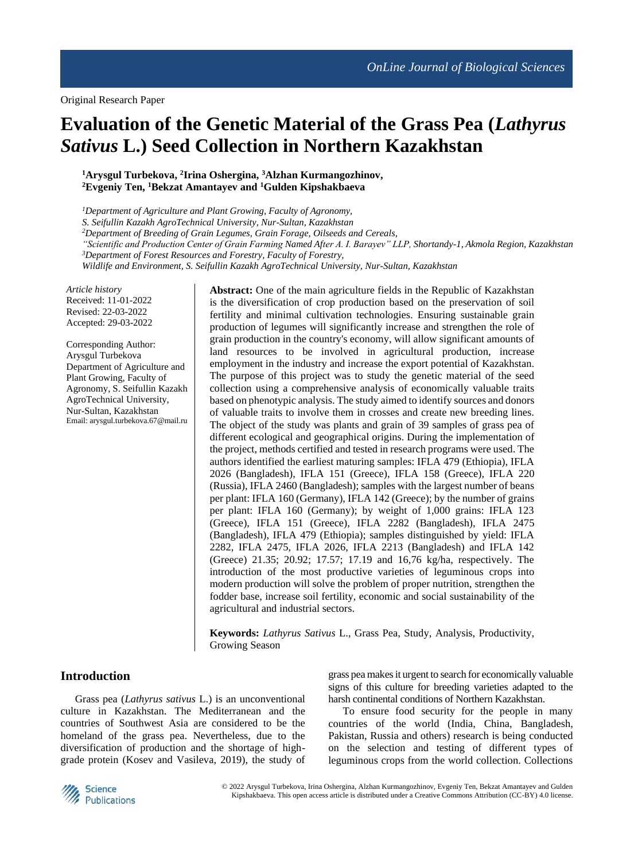# **Evaluation of the Genetic Material of the Grass Pea (***Lathyrus Sativus* **L.) Seed Collection in Northern Kazakhstan**

**<sup>1</sup>Arysgul Turbekova, <sup>2</sup> Irina Oshergina, <sup>3</sup>Alzhan Kurmangozhinov, <sup>2</sup>Evgeniy Ten, <sup>1</sup>Bekzat Amantayev and <sup>1</sup>Gulden Kipshakbaeva**

*<sup>1</sup>Department of Agriculture and Plant Growing, Faculty of Agronomy, S. Seifullin Kazakh AgroTechnical University, Nur-Sultan, Kazakhstan <sup>2</sup>Department of Breeding of Grain Legumes, Grain Forage, Oilseeds and Cereals, "Scientific and Production Center of Grain Farming Named After A. I. Barayev" LLP, Shortandy-1, Akmola Region, Kazakhstan <sup>3</sup>Department of Forest Resources and Forestry, Faculty of Forestry, Wildlife and Environment, S. Seifullin Kazakh AgroTechnical University, Nur-Sultan, Kazakhstan*

*Article history* Received: 11-01-2022 Revised: 22-03-2022 Accepted: 29-03-2022

Corresponding Author: Arysgul Turbekova Department of Agriculture and Plant Growing, Faculty of Agronomy, S. Seifullin Kazakh AgroTechnical University, Nur-Sultan, Kazakhstan Email: arysgul.turbekova.67@mail.ru

**Abstract:** One of the main agriculture fields in the Republic of Kazakhstan is the diversification of crop production based on the preservation of soil fertility and minimal cultivation technologies. Ensuring sustainable grain production of legumes will significantly increase and strengthen the role of grain production in the country's economy, will allow significant amounts of land resources to be involved in agricultural production, increase employment in the industry and increase the export potential of Kazakhstan. The purpose of this project was to study the genetic material of the seed collection using a comprehensive analysis of economically valuable traits based on phenotypic analysis. The study aimed to identify sources and donors of valuable traits to involve them in crosses and create new breeding lines. The object of the study was plants and grain of 39 samples of grass pea of different ecological and geographical origins. During the implementation of the project, methods certified and tested in research programs were used. The authors identified the earliest maturing samples: IFLA 479 (Ethiopia), IFLA 2026 (Bangladesh), IFLA 151 (Greece), IFLA 158 (Greece), IFLA 220 (Russia), IFLA 2460 (Bangladesh); samples with the largest number of beans per plant: IFLA 160 (Germany), IFLA 142 (Greece); by the number of grains per plant: IFLA 160 (Germany); by weight of 1,000 grains: IFLA 123 (Greece), IFLA 151 (Greece), IFLA 2282 (Bangladesh), IFLA 2475 (Bangladesh), IFLA 479 (Ethiopia); samples distinguished by yield: IFLA 2282, IFLA 2475, IFLA 2026, IFLA 2213 (Bangladesh) and IFLA 142 (Greece) 21.35; 20.92; 17.57; 17.19 and 16,76 kg/ha, respectively. The introduction of the most productive varieties of leguminous crops into modern production will solve the problem of proper nutrition, strengthen the fodder base, increase soil fertility, economic and social sustainability of the agricultural and industrial sectors.

**Keywords:** *Lathyrus Sativus* L., Grass Pea, Study, Analysis, Productivity, Growing Season

# **Introduction**

Grass pea (*Lathyrus sativus* L.) is an unconventional culture in Kazakhstan. The Mediterranean and the countries of Southwest Asia are considered to be the homeland of the grass pea. Nevertheless, due to the diversification of production and the shortage of highgrade protein (Kosev and Vasileva, 2019), the study of grass pea makes it urgent to search for economically valuable signs of this culture for breeding varieties adapted to the harsh continental conditions of Northern Kazakhstan.

To ensure food security for the people in many countries of the world (India, China, Bangladesh, Pakistan, Russia and others) research is being conducted on the selection and testing of different types of leguminous crops from the world collection. Collections

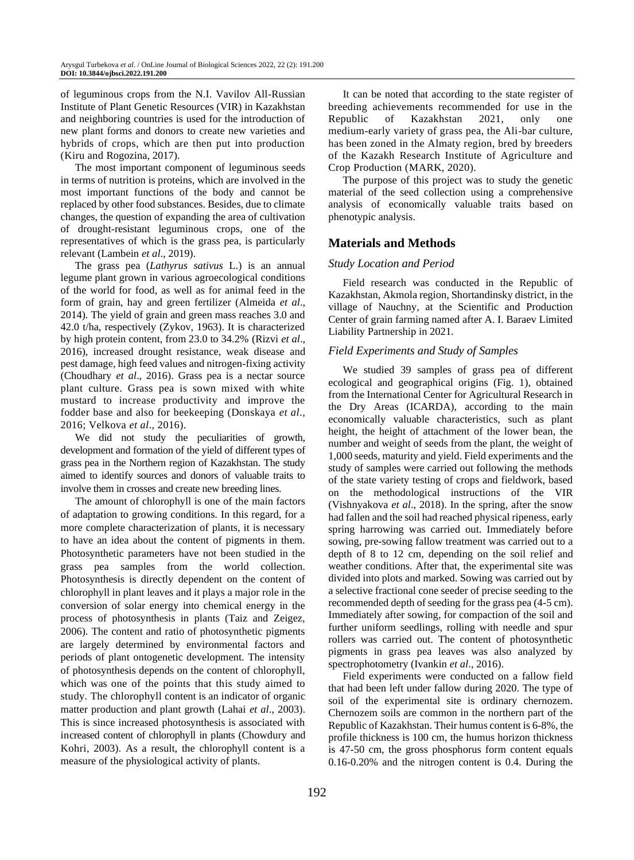of leguminous crops from the N.I. Vavilov All-Russian Institute of Plant Genetic Resources (VIR) in Kazakhstan and neighboring countries is used for the introduction of new plant forms and donors to create new varieties and hybrids of crops, which are then put into production (Kiru and Rogozina, 2017).

The most important component of leguminous seeds in terms of nutrition is proteins, which are involved in the most important functions of the body and cannot be replaced by other food substances. Besides, due to climate changes, the question of expanding the area of cultivation of drought-resistant leguminous crops, one of the representatives of which is the grass pea, is particularly relevant (Lambein *et al*., 2019).

The grass pea (*Lathyrus sativus* L.) is an annual legume plant grown in various agroecological conditions of the world for food, as well as for animal feed in the form of grain, hay and green fertilizer (Almeida *et al*., 2014). The yield of grain and green mass reaches 3.0 and 42.0 t/ha, respectively (Zykov, 1963). It is characterized by high protein content, from 23.0 to 34.2% (Rizvi *et al*., 2016), increased drought resistance, weak disease and pest damage, high feed values and nitrogen-fixing activity (Choudhary *et al*., 2016). Grass pea is a nectar source plant culture. Grass pea is sown mixed with white mustard to increase productivity and improve the fodder base and also for beekeeping (Donskaya *et al*., 2016; Velkova *et al*., 2016).

We did not study the peculiarities of growth, development and formation of the yield of different types of grass pea in the Northern region of Kazakhstan. The study aimed to identify sources and donors of valuable traits to involve them in crosses and create new breeding lines.

The amount of chlorophyll is one of the main factors of adaptation to growing conditions. In this regard, for a more complete characterization of plants, it is necessary to have an idea about the content of pigments in them. Photosynthetic parameters have not been studied in the grass pea samples from the world collection. Photosynthesis is directly dependent on the content of chlorophyll in plant leaves and it plays a major role in the conversion of solar energy into chemical energy in the process of photosynthesis in plants (Taiz and Zeigez, 2006). The content and ratio of photosynthetic pigments are largely determined by environmental factors and periods of plant ontogenetic development. The intensity of photosynthesis depends on the content of chlorophyll, which was one of the points that this study aimed to study. The chlorophyll content is an indicator o[f organic](http://www.scialert.net/asci/result.php?searchin=Keywords&cat=&ascicat=ALL&Submit=Search&keyword=organic+matter)  [matter](http://www.scialert.net/asci/result.php?searchin=Keywords&cat=&ascicat=ALL&Submit=Search&keyword=organic+matter) production and plant growth (Lahai *et al*., 2003). This is since increased photosynthesis is associated with increased content of chlorophyll in plants (Chowdury and Kohri, 2003). As a result, the chlorophyll content is a measure of the physiological activity of plants.

It can be noted that according to the state register of breeding achievements recommended for use in the Republic of Kazakhstan 2021, only one medium-early variety of grass pea, the Ali-bar culture, has been zoned in the Almaty region, bred by breeders of the Kazakh Research Institute of Agriculture and Crop Production (MARK, 2020).

The purpose of this project was to study the genetic material of the seed collection using a comprehensive analysis of economically valuable traits based on phenotypic analysis.

# **Materials and Methods**

### *Study Location and Period*

Field research was conducted in the Republic of Kazakhstan, Akmola region, Shortandinsky district, in the village of Nauchny, at the Scientific and Production Center of grain farming named after A. I. Baraev Limited Liability Partnership in 2021.

### *Field Experiments and Study of Samples*

We studied 39 samples of grass pea of different ecological and geographical origins (Fig. 1), obtained from the International Center for Agricultural Research in the Dry Areas (ICARDA), according to the main economically valuable characteristics, such as plant height, the height of attachment of the lower bean, the number and weight of seeds from the plant, the weight of 1,000 seeds, maturity and yield. Field experiments and the study of samples were carried out following the methods of the state variety testing of crops and fieldwork, based on the methodological instructions of the VIR (Vishnyakova *et al*., 2018). In the spring, after the snow had fallen and the soil had reached physical ripeness, early spring harrowing was carried out. Immediately before sowing, pre-sowing fallow treatment was carried out to a depth of 8 to 12 cm, depending on the soil relief and weather conditions. After that, the experimental site was divided into plots and marked. Sowing was carried out by a selective fractional cone seeder of precise seeding to the recommended depth of seeding for the grass pea (4-5 cm). Immediately after sowing, for compaction of the soil and further uniform seedlings, rolling with needle and spur rollers was carried out. The content of photosynthetic pigments in grass pea leaves was also analyzed by spectrophotometry (Ivankin *et al*., 2016).

Field experiments were conducted on a fallow field that had been left under fallow during 2020. The type of soil of the experimental site is ordinary chernozem. Chernozem soils are common in the northern part of the Republic of Kazakhstan. Their humus content is 6-8%, the profile thickness is 100 cm, the humus horizon thickness is 47-50 cm, the gross phosphorus form content equals 0.16-0.20% and the nitrogen content is 0.4. During the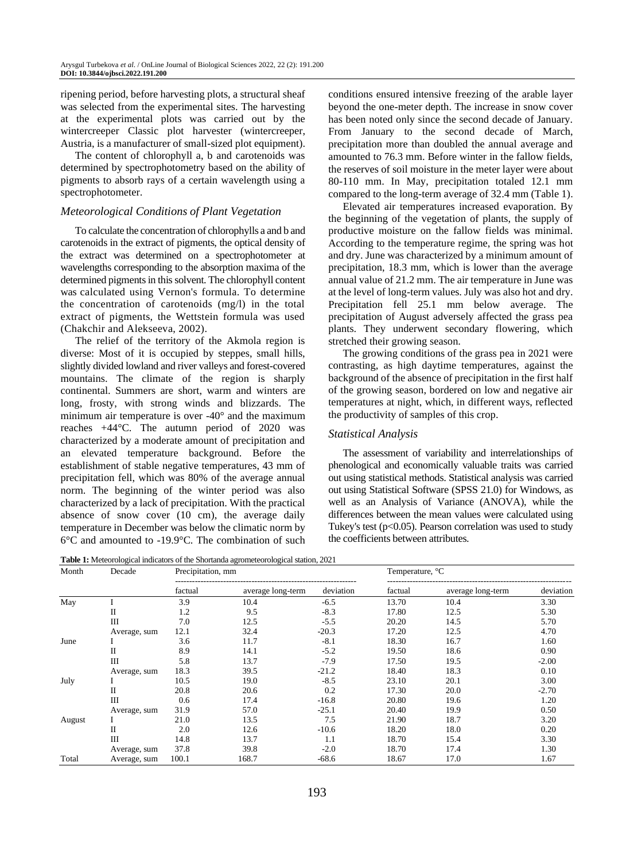ripening period, before harvesting plots, a structural sheaf was selected from the experimental sites. The harvesting at the experimental plots was carried out by the wintercreeper Classic plot harvester (wintercreeper, Austria, is a manufacturer of small-sized plot equipment).

The content of chlorophyll a, b and carotenoids was determined by spectrophotometry based on the ability of pigments to absorb rays of a certain wavelength using a spectrophotometer.

## *Meteorological Conditions of Plant Vegetation*

To calculate the concentration of chlorophylls a and b and carotenoids in the extract of pigments, the optical density of the extract was determined on a spectrophotometer at wavelengths corresponding to the absorption maxima of the determined pigments in this solvent. The chlorophyll content was calculated using Vernon's formula. To determine the concentration of carotenoids (mg/l) in the total extract of pigments, the Wettstein formula was used (Chakchir and Alekseeva, 2002).

The relief of the territory of the Akmola region is diverse: Most of it is occupied by steppes, small hills, slightly divided lowland and river valleys and forest-covered mountains. The climate of the region is sharply continental. Summers are short, warm and winters are long, frosty, with strong winds and blizzards. The minimum air temperature is over -40° and the maximum reaches +44°C. The autumn period of 2020 was characterized by a moderate amount of precipitation and an elevated temperature background. Before the establishment of stable negative temperatures, 43 mm of precipitation fell, which was 80% of the average annual norm. The beginning of the winter period was also characterized by a lack of precipitation. With the practical absence of snow cover (10 cm), the average daily temperature in December was below the climatic norm by 6°C and amounted to -19.9°C. The combination of such

conditions ensured intensive freezing of the arable layer beyond the one-meter depth. The increase in snow cover has been noted only since the second decade of January. From January to the second decade of March, precipitation more than doubled the annual average and amounted to 76.3 mm. Before winter in the fallow fields, the reserves of soil moisture in the meter layer were about 80-110 mm. In May, precipitation totaled 12.1 mm compared to the long-term average of 32.4 mm (Table 1).

Elevated air temperatures increased evaporation. By the beginning of the vegetation of plants, the supply of productive moisture on the fallow fields was minimal. According to the temperature regime, the spring was hot and dry. June was characterized by a minimum amount of precipitation, 18.3 mm, which is lower than the average annual value of 21.2 mm. The air temperature in June was at the level of long-term values. July was also hot and dry. Precipitation fell 25.1 mm below average. The precipitation of August adversely affected the grass pea plants. They underwent secondary flowering, which stretched their growing season.

The growing conditions of the grass pea in 2021 were contrasting, as high daytime temperatures, against the background of the absence of precipitation in the first half of the growing season, bordered on low and negative air temperatures at night, which, in different ways, reflected the productivity of samples of this crop.

# *Statistical Analysis*

The assessment of variability and interrelationships of phenological and economically valuable traits was carried out using statistical methods. Statistical analysis was carried out using Statistical Software (SPSS 21.0) for Windows, as well as an Analysis of Variance (ANOVA), while the differences between the mean values were calculated using Tukey's test  $(p<0.05)$ . Pearson correlation was used to study the coefficients between attributes.

**Table 1:** Meteorological indicators of the Shortanda agrometeorological station, 2021

| Month  | Decade       | Precipitation, mm |                   |           | Temperature, °C |                   |           |  |
|--------|--------------|-------------------|-------------------|-----------|-----------------|-------------------|-----------|--|
|        |              | factual           | average long-term | deviation | factual         | average long-term | deviation |  |
| May    |              | 3.9               | 10.4              | $-6.5$    | 13.70           | 10.4              | 3.30      |  |
|        | П            | 1.2               | 9.5               | $-8.3$    | 17.80           | 12.5              | 5.30      |  |
|        | Ш            | 7.0               | 12.5              | $-5.5$    | 20.20           | 14.5              | 5.70      |  |
|        | Average, sum | 12.1              | 32.4              | $-20.3$   | 17.20           | 12.5              | 4.70      |  |
| June   |              | 3.6               | 11.7              | $-8.1$    | 18.30           | 16.7              | 1.60      |  |
|        | П            | 8.9               | 14.1              | $-5.2$    | 19.50           | 18.6              | 0.90      |  |
|        | Ш            | 5.8               | 13.7              | $-7.9$    | 17.50           | 19.5              | $-2.00$   |  |
|        | Average, sum | 18.3              | 39.5              | $-21.2$   | 18.40           | 18.3              | 0.10      |  |
| July   |              | 10.5              | 19.0              | $-8.5$    | 23.10           | 20.1              | 3.00      |  |
|        | П            | 20.8              | 20.6              | 0.2       | 17.30           | 20.0              | $-2.70$   |  |
|        | Ш            | 0.6               | 17.4              | $-16.8$   | 20.80           | 19.6              | 1.20      |  |
|        | Average, sum | 31.9              | 57.0              | $-25.1$   | 20.40           | 19.9              | 0.50      |  |
| August |              | 21.0              | 13.5              | 7.5       | 21.90           | 18.7              | 3.20      |  |
|        | П            | 2.0               | 12.6              | $-10.6$   | 18.20           | 18.0              | 0.20      |  |
|        | Ш            | 14.8              | 13.7              | 1.1       | 18.70           | 15.4              | 3.30      |  |
|        | Average, sum | 37.8              | 39.8              | $-2.0$    | 18.70           | 17.4              | 1.30      |  |
| Total  | Average, sum | 100.1             | 168.7             | $-68.6$   | 18.67           | 17.0              | 1.67      |  |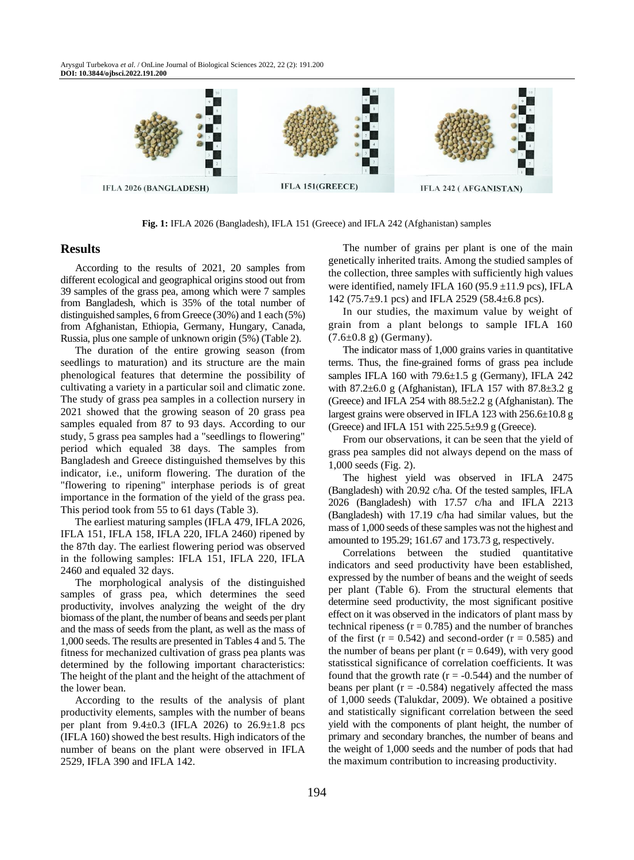Arysgul Turbekova *et al*. / OnLine Journal of Biological Sciences 2022, 22 (2): 191.200 **DOI: 10.3844/ojbsci.2022.191.200**



**Fig. 1:** IFLA 2026 (Bangladesh), IFLA 151 (Greece) and IFLA 242 (Afghanistan) samples

#### **Results**

According to the results of 2021, 20 samples from different ecological and geographical origins stood out from 39 samples of the grass pea, among which were 7 samples from Bangladesh, which is 35% of the total number of distinguished samples, 6 from Greece (30%) and 1 each (5%) from Afghanistan, Ethiopia, Germany, Hungary, Canada, Russia, plus one sample of unknown origin (5%) (Table 2).

The duration of the entire growing season (from seedlings to maturation) and its structure are the main phenological features that determine the possibility of cultivating a variety in a particular soil and climatic zone. The study of grass pea samples in a collection nursery in 2021 showed that the growing season of 20 grass pea samples equaled from 87 to 93 days. According to our study, 5 grass pea samples had a "seedlings to flowering" period which equaled 38 days. The samples from Bangladesh and Greece distinguished themselves by this indicator, i.e., uniform flowering. The duration of the "flowering to ripening" interphase periods is of great importance in the formation of the yield of the grass pea. This period took from 55 to 61 days (Table 3).

The earliest maturing samples (IFLA 479, IFLA 2026, IFLA 151, IFLA 158, IFLA 220, IFLA 2460) ripened by the 87th day. The earliest flowering period was observed in the following samples: IFLA 151, IFLA 220, IFLA 2460 and equaled 32 days.

The morphological analysis of the distinguished samples of grass pea, which determines the seed productivity, involves analyzing the weight of the dry biomass of the plant, the number of beans and seeds per plant and the mass of seeds from the plant, as well as the mass of 1,000 seeds. The results are presented in Tables 4 and 5. The fitness for mechanized cultivation of grass pea plants was determined by the following important characteristics: The height of the plant and the height of the attachment of the lower bean.

According to the results of the analysis of plant productivity elements, samples with the number of beans per plant from  $9.4 \pm 0.3$  (IFLA 2026) to  $26.9 \pm 1.8$  pcs (IFLA 160) showed the best results. High indicators of the number of beans on the plant were observed in IFLA 2529, IFLA 390 and IFLA 142.

The number of grains per plant is one of the main genetically inherited traits. Among the studied samples of the collection, three samples with sufficiently high values were identified, namely IFLA 160 (95.9 ± 11.9 pcs), IFLA 142 (75.7 $\pm$ 9.1 pcs) and IFLA 2529 (58.4 $\pm$ 6.8 pcs).

In our studies, the maximum value by weight of grain from a plant belongs to sample IFLA 160  $(7.6 \pm 0.8 \text{ g})$  (Germany).

The indicator mass of 1,000 grains varies in quantitative terms. Thus, the fine-grained forms of grass pea include samples IFLA 160 with  $79.6 \pm 1.5$  g (Germany), IFLA 242 with 87.2 $\pm$ 6.0 g (Afghanistan), IFLA 157 with 87.8 $\pm$ 3.2 g (Greece) and IFLA 254 with  $88.5\pm2.2$  g (Afghanistan). The largest grains were observed in IFLA 123 with 256.6±10.8 g (Greece) and IFLA 151 with  $225.5\pm9.9$  g (Greece).

From our observations, it can be seen that the yield of grass pea samples did not always depend on the mass of 1,000 seeds (Fig. 2).

The highest yield was observed in IFLA 2475 (Bangladesh) with 20.92 c/ha. Of the tested samples, IFLA 2026 (Bangladesh) with 17.57 c/ha and IFLA 2213 (Bangladesh) with 17.19 c/ha had similar values, but the mass of 1,000 seeds of these samples was not the highest and amounted to 195.29; 161.67 and 173.73 g, respectively.

Correlations between the studied quantitative indicators and seed productivity have been established, expressed by the number of beans and the weight of seeds per plant (Table 6). From the structural elements that determine seed productivity, the most significant positive effect on it was observed in the indicators of plant mass by technical ripeness ( $r = 0.785$ ) and the number of branches of the first  $(r = 0.542)$  and second-order  $(r = 0.585)$  and the number of beans per plant ( $r = 0.649$ ), with very good statisstical significance of correlation coefficients. It was found that the growth rate  $(r = -0.544)$  and the number of beans per plant ( $r = -0.584$ ) negatively affected the mass of 1,000 seeds (Talukdar, 2009). We obtained a positive and statistically significant correlation between the seed yield with the components of plant height, the number of primary and secondary branches, the number of beans and the weight of 1,000 seeds and the number of pods that had the maximum contribution to increasing productivity.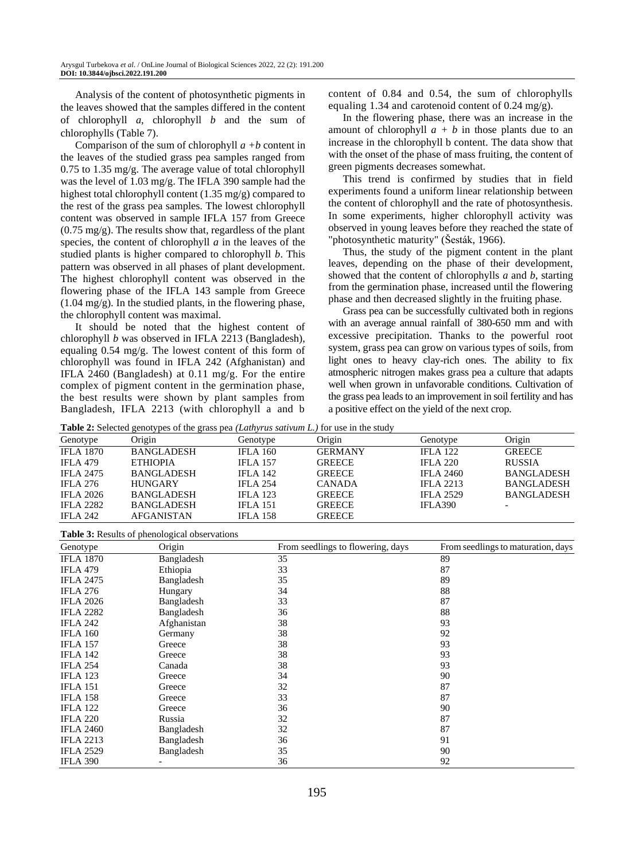Analysis of the content of photosynthetic pigments in the leaves showed that the samples differed in the content of chlorophyll *a*, chlorophyll *b* and the sum of chlorophylls (Table 7).

Comparison of the sum of chlorophyll *a +b* content in the leaves of the studied grass pea samples ranged from 0.75 to 1.35 mg/g. The average value of total chlorophyll was the level of 1.03 mg/g. The IFLA 390 sample had the highest total chlorophyll content (1.35 mg/g) compared to the rest of the grass pea samples. The lowest chlorophyll content was observed in sample IFLA 157 from Greece (0.75 mg/g). The results show that, regardless of the plant species, the content of chlorophyll *a* in the leaves of the studied plants is higher compared to chlorophyll *b*. This pattern was observed in all phases of plant development. The highest chlorophyll content was observed in the flowering phase of the IFLA 143 sample from Greece (1.04 mg/g). In the studied plants, in the flowering phase, the chlorophyll content was maximal.

It should be noted that the highest content of chlorophyll *b* was observed in IFLA 2213 (Bangladesh), equaling 0.54 mg/g. The lowest content of this form of chlorophyll was found in IFLA 242 (Afghanistan) and IFLA 2460 (Bangladesh) at 0.11 mg/g. For the entire complex of pigment content in the germination phase, the best results were shown by plant samples from Bangladesh, IFLA 2213 (with chlorophyll a and b

content of 0.84 and 0.54, the sum of chlorophylls equaling 1.34 and carotenoid content of 0.24 mg/g).

In the flowering phase, there was an increase in the amount of chlorophyll  $a + b$  in those plants due to an increase in the chlorophyll b content. The data show that with the onset of the phase of mass fruiting, the content of green pigments decreases somewhat.

This trend is confirmed by studies that in field experiments found a uniform linear relationship between the content of chlorophyll and the rate of photosynthesis. In some experiments, higher chlorophyll activity was observed in young leaves before they reached the state of "photosynthetic maturity" (Šesták, 1966).

Thus, the study of the pigment content in the plant leaves, depending on the phase of their development, showed that the content of chlorophylls *a* and *b*, starting from the germination phase, increased until the flowering phase and then decreased slightly in the fruiting phase.

Grass pea can be successfully cultivated both in regions with an average annual rainfall of 380-650 mm and with excessive precipitation. Thanks to the powerful root system, grass pea can grow on various types of soils, from light ones to heavy clay-rich ones. The ability to fix atmospheric nitrogen makes grass pea a culture that adapts well when grown in unfavorable conditions. Cultivation of the grass pea leads to an improvement in soil fertility and has a positive effect on the yield of the next crop.

**Table 2:** Selected genotypes of the grass pea *(Lathyrus sativum L.)* for use in the study

| Twore It Deleted Kellor/ped of the Kimd pen (Banit ), and banyward in the band |                   |                 |                |                  |                   |  |  |  |  |
|--------------------------------------------------------------------------------|-------------------|-----------------|----------------|------------------|-------------------|--|--|--|--|
| Genotype                                                                       | Origin            | Genotype        | Origin         | Genotype         | Origin            |  |  |  |  |
| <b>IFLA 1870</b>                                                               | <b>BANGLADESH</b> | <b>IFLA 160</b> | <b>GERMANY</b> | <b>IFLA</b> 122  | <b>GREECE</b>     |  |  |  |  |
| <b>IFLA 479</b>                                                                | <b>ETHIOPIA</b>   | <b>IFLA 157</b> | <b>GREECE</b>  | <b>IFLA 220</b>  | <b>RUSSIA</b>     |  |  |  |  |
| <b>IFLA 2475</b>                                                               | <b>BANGLADESH</b> | <b>IFLA 142</b> | <b>GREECE</b>  | <b>IFLA 2460</b> | <b>BANGLADESH</b> |  |  |  |  |
| <b>IFLA 276</b>                                                                | <b>HUNGARY</b>    | <b>IFLA 254</b> | <b>CANADA</b>  | <b>IFLA 2213</b> | <b>BANGLADESH</b> |  |  |  |  |
| <b>IFLA 2026</b>                                                               | <b>BANGLADESH</b> | <b>IFLA</b> 123 | <b>GREECE</b>  | <b>IFLA 2529</b> | <b>BANGLADESH</b> |  |  |  |  |
| <b>IFLA 2282</b>                                                               | <b>BANGLADESH</b> | <b>IFLA 151</b> | <b>GREECE</b>  | <b>IFLA390</b>   |                   |  |  |  |  |
| <b>IFLA 242</b>                                                                | <b>AFGANISTAN</b> | <b>IFLA 158</b> | <b>GREECE</b>  |                  |                   |  |  |  |  |
|                                                                                |                   |                 |                |                  |                   |  |  |  |  |

| <b>Table 3:</b> Results of phenological observations |             |                                   |                                    |  |  |  |  |
|------------------------------------------------------|-------------|-----------------------------------|------------------------------------|--|--|--|--|
| Genotype                                             | Origin      | From seedlings to flowering, days | From seedlings to maturation, days |  |  |  |  |
| <b>IFLA 1870</b>                                     | Bangladesh  | 35                                | 89                                 |  |  |  |  |
| <b>IFLA 479</b>                                      | Ethiopia    | 33                                | 87                                 |  |  |  |  |
| <b>IFLA 2475</b>                                     | Bangladesh  | 35                                | 89                                 |  |  |  |  |
| <b>IFLA 276</b>                                      | Hungary     | 34                                | 88                                 |  |  |  |  |
| <b>IFLA 2026</b>                                     | Bangladesh  | 33                                | 87                                 |  |  |  |  |
| <b>IFLA 2282</b>                                     | Bangladesh  | 36                                | 88                                 |  |  |  |  |
| <b>IFLA 242</b>                                      | Afghanistan | 38                                | 93                                 |  |  |  |  |
| <b>IFLA 160</b>                                      | Germany     | 38                                | 92                                 |  |  |  |  |
| <b>IFLA 157</b>                                      | Greece      | 38                                | 93                                 |  |  |  |  |
| <b>IFLA 142</b>                                      | Greece      | 38                                | 93                                 |  |  |  |  |
| <b>IFLA 254</b>                                      | Canada      | 38                                | 93                                 |  |  |  |  |
| <b>IFLA 123</b>                                      | Greece      | 34                                | 90                                 |  |  |  |  |
| <b>IFLA 151</b>                                      | Greece      | 32                                | 87                                 |  |  |  |  |
| <b>IFLA 158</b>                                      | Greece      | 33                                | 87                                 |  |  |  |  |
| <b>IFLA 122</b>                                      | Greece      | 36                                | 90                                 |  |  |  |  |
| <b>IFLA 220</b>                                      | Russia      | 32                                | 87                                 |  |  |  |  |
| <b>IFLA 2460</b>                                     | Bangladesh  | 32                                | 87                                 |  |  |  |  |
| <b>IFLA 2213</b>                                     | Bangladesh  | 36                                | 91                                 |  |  |  |  |
| <b>IFLA 2529</b>                                     | Bangladesh  | 35                                | 90                                 |  |  |  |  |
| <b>IFLA 390</b>                                      |             | 36                                | 92                                 |  |  |  |  |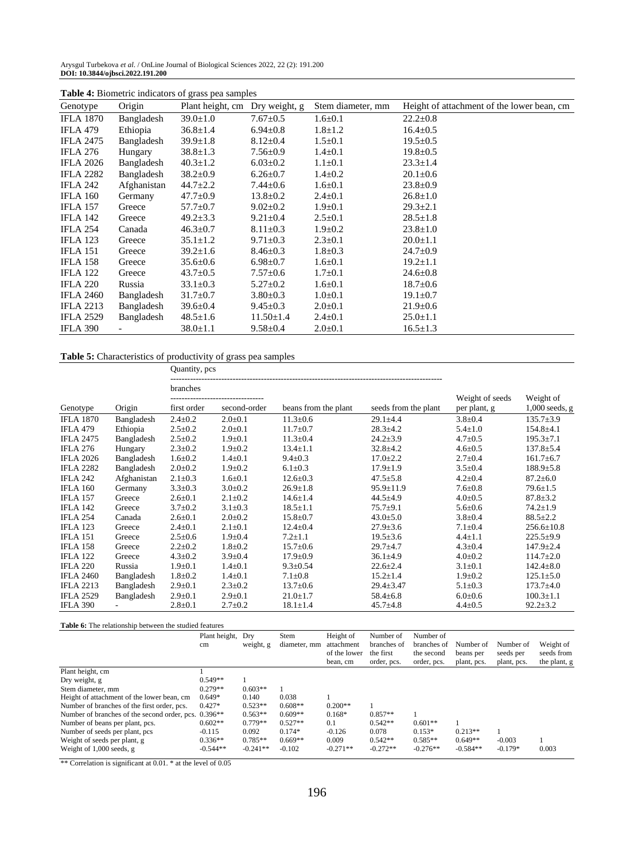Arysgul Turbekova *et al*. / OnLine Journal of Biological Sciences 2022, 22 (2): 191.200 **DOI: 10.3844/ojbsci.2022.191.200**

| Genotype         | Origin      | Plant height, cm | Dry weight, g   | Stem diameter, mm | Height of attachment of the lower bean, cm |
|------------------|-------------|------------------|-----------------|-------------------|--------------------------------------------|
| <b>IFLA 1870</b> | Bangladesh  | $39.0 \pm 1.0$   | $7.67 \pm 0.5$  | $1.6 \pm 0.1$     | $22.2 \pm 0.8$                             |
| <b>IFLA 479</b>  | Ethiopia    | $36.8 \pm 1.4$   | $6.94 \pm 0.8$  | $1.8 \pm 1.2$     | $16.4 \pm 0.5$                             |
| <b>IFLA 2475</b> | Bangladesh  | $39.9 \pm 1.8$   | $8.12 \pm 0.4$  | $1.5 \pm 0.1$     | $19.5 \pm 0.5$                             |
| IFLA 276         | Hungary     | $38.8 \pm 1.3$   | $7.56 \pm 0.9$  | $1.4 \pm 0.1$     | $19.8 \pm 0.5$                             |
| <b>IFLA 2026</b> | Bangladesh  | $40.3 \pm 1.2$   | $6.03 \pm 0.2$  | $1.1 \pm 0.1$     | $23.3 \pm 1.4$                             |
| <b>IFLA 2282</b> | Bangladesh  | $38.2 \pm 0.9$   | $6.26 \pm 0.7$  | $1.4 \pm 0.2$     | $20.1 \pm 0.6$                             |
| <b>IFLA 242</b>  | Afghanistan | $44.7 \pm 2.2$   | $7.44 \pm 0.6$  | $1.6 \pm 0.1$     | $23.8 \pm 0.9$                             |
| <b>IFLA 160</b>  | Germany     | $47.7 \pm 0.9$   | $13.8 \pm 0.2$  | $2.4 \pm 0.1$     | $26.8 \pm 1.0$                             |
| <b>IFLA 157</b>  | Greece      | $57.7 \pm 0.7$   | $9.02 \pm 0.2$  | $1.9 \pm 0.1$     | $29.3 \pm 2.1$                             |
| <b>IFLA 142</b>  | Greece      | $49.2 \pm 3.3$   | $9.21 \pm 0.4$  | $2.5 \pm 0.1$     | $28.5 \pm 1.8$                             |
| <b>IFLA 254</b>  | Canada      | $46.3 \pm 0.7$   | $8.11 \pm 0.3$  | $1.9 \pm 0.2$     | $23.8 \pm 1.0$                             |
| <b>IFLA</b> 123  | Greece      | $35.1 \pm 1.2$   | $9.71 \pm 0.3$  | $2.3 \pm 0.1$     | $20.0 \pm 1.1$                             |
| <b>IFLA 151</b>  | Greece      | $39.2 \pm 1.6$   | $8.46 \pm 0.3$  | $1.8 \pm 0.3$     | $24.7 \pm 0.9$                             |
| <b>IFLA 158</b>  | Greece      | $35.6 \pm 0.6$   | $6.98 \pm 0.7$  | $1.6 \pm 0.1$     | $19.2 \pm 1.1$                             |
| <b>IFLA 122</b>  | Greece      | $43.7 \pm 0.5$   | $7.57 \pm 0.6$  | $1.7 \pm 0.1$     | $24.6 \pm 0.8$                             |
| <b>IFLA 220</b>  | Russia      | $33.1 \pm 0.3$   | $5.27 \pm 0.2$  | $1.6 \pm 0.1$     | $18.7 \pm 0.6$                             |
| <b>IFLA 2460</b> | Bangladesh  | $31.7 \pm 0.7$   | $3.80 \pm 0.3$  | $1.0 \pm 0.1$     | $19.1 \pm 0.7$                             |
| <b>IFLA 2213</b> | Bangladesh  | $39.6 \pm 0.4$   | $9.45 \pm 0.3$  | $2.0 \pm 0.1$     | $21.9 \pm 0.6$                             |
| <b>IFLA 2529</b> | Bangladesh  | $48.5 \pm 1.6$   | $11.50 \pm 1.4$ | $2.4 \pm 0.1$     | $25.0 \pm 1.1$                             |
| <b>IFLA 390</b>  |             | $38.0 \pm 1.1$   | $9.58 \pm 0.4$  | $2.0 \pm 0.1$     | $16.5 \pm 1.3$                             |

**Table 4:** Biometric indicators of grass pea samples

#### **Table 5:** Characteristics of productivity of grass pea samples

Quantity, pcs ----------------------------------------------------------------------------------------------- branches

|                  |             |               |               |                      |                      | Weight of seeds | Weight of        |
|------------------|-------------|---------------|---------------|----------------------|----------------------|-----------------|------------------|
| Genotype         | Origin      | first order   | second-order  | beans from the plant | seeds from the plant | per plant, g    | $1,000$ seeds, g |
| <b>IFLA 1870</b> | Bangladesh  | $2.4 \pm 0.2$ | $2.0 \pm 0.1$ | $11.3 \pm 0.6$       | 29.1±4.4             | $3.8 \pm 0.4$   | $135.7 \pm 3.9$  |
| <b>IFLA 479</b>  | Ethiopia    | $2.5 \pm 0.2$ | $2.0 \pm 0.1$ | $11.7 \pm 0.7$       | $28.3 + 4.2$         | $5.4 \pm 1.0$   | $154.8 + 4.1$    |
| <b>IFLA 2475</b> | Bangladesh  | $2.5 \pm 0.2$ | $1.9 \pm 0.1$ | $11.3 \pm 0.4$       | $24.2 \pm 3.9$       | $4.7 \pm 0.5$   | $195.3 \pm 7.1$  |
| <b>IFLA 276</b>  | Hungary     | $2.3 \pm 0.2$ | $1.9 \pm 0.2$ | $13.4 \pm 1.1$       | $32.8 + 4.2$         | $4.6 \pm 0.5$   | $137.8 \pm 5.4$  |
| <b>IFLA 2026</b> | Bangladesh  | $1.6 \pm 0.2$ | $1.4 \pm 0.1$ | $9.4 \pm 0.3$        | $17.0 \pm 2.2$       | $2.7 \pm 0.4$   | $161.7 \pm 6.7$  |
| <b>IFLA 2282</b> | Bangladesh  | $2.0 \pm 0.2$ | $1.9 \pm 0.2$ | $6.1 \pm 0.3$        | $17.9 \pm 1.9$       | $3.5 \pm 0.4$   | $188.9 \pm 5.8$  |
| <b>IFLA 242</b>  | Afghanistan | $2.1 \pm 0.3$ | $1.6 \pm 0.1$ | $12.6 \pm 0.3$       | $47.5 \pm 5.8$       | $4.2 \pm 0.4$   | $87.2 \pm 6.0$   |
| <b>IFLA 160</b>  | Germany     | $3.3 \pm 0.3$ | $3.0 \pm 0.2$ | $26.9 \pm 1.8$       | $95.9 \pm 11.9$      | $7.6 \pm 0.8$   | $79.6 \pm 1.5$   |
| <b>IFLA 157</b>  | Greece      | $2.6 \pm 0.1$ | $2.1 \pm 0.2$ | $14.6 \pm 1.4$       | $44.5 \pm 4.9$       | $4.0 \pm 0.5$   | $87.8 \pm 3.2$   |
| <b>IFLA 142</b>  | Greece      | $3.7 \pm 0.2$ | $3.1 \pm 0.3$ | $18.5 \pm 1.1$       | $75.7 + 9.1$         | $5.6 \pm 0.6$   | $74.2 \pm 1.9$   |
| <b>IFLA 254</b>  | Canada      | $2.6 \pm 0.1$ | $2.0 \pm 0.2$ | $15.8 \pm 0.7$       | $43.0 \pm 5.0$       | $3.8 \pm 0.4$   | $88.5 \pm 2.2$   |
| <b>IFLA 123</b>  | Greece      | $2.4 \pm 0.1$ | $2.1 \pm 0.1$ | $12.4 \pm 0.4$       | $27.9 \pm 3.6$       | $7.1 \pm 0.4$   | $256.6 \pm 10.8$ |
| <b>IFLA 151</b>  | Greece      | $2.5 \pm 0.6$ | $1.9 \pm 0.4$ | $7.2 \pm 1.1$        | $19.5 \pm 3.6$       | $4.4 \pm 1.1$   | $225.5+9.9$      |
| <b>IFLA 158</b>  | Greece      | $2.2 \pm 0.2$ | $1.8 \pm 0.2$ | $15.7 \pm 0.6$       | $29.7 + 4.7$         | $4.3 \pm 0.4$   | $147.9 \pm 2.4$  |
| <b>IFLA 122</b>  | Greece      | $4.3 \pm 0.2$ | $3.9 \pm 0.4$ | $17.9 \pm 0.9$       | $36.1 \pm 4.9$       | $4.0 \pm 0.2$   | $114.7 \pm 2.0$  |
| <b>IFLA 220</b>  | Russia      | $1.9 \pm 0.1$ | $1.4 \pm 0.1$ | $9.3 \pm 0.54$       | $22.6 \pm 2.4$       | $3.1 \pm 0.1$   | $142.4 \pm 8.0$  |
| <b>IFLA 2460</b> | Bangladesh  | $1.8 \pm 0.2$ | $1.4 \pm 0.1$ | $7.1 \pm 0.8$        | $15.2 \pm 1.4$       | $1.9 \pm 0.2$   | $125.1 \pm 5.0$  |
| <b>IFLA 2213</b> | Bangladesh  | $2.9 \pm 0.1$ | $2.3 \pm 0.2$ | $13.7 \pm 0.6$       | $29.4 \pm 3.47$      | $5.1 \pm 0.3$   | $173.7 \pm 4.0$  |
| <b>IFLA 2529</b> | Bangladesh  | $2.9 \pm 0.1$ | $2.9 \pm 0.1$ | $21.0 \pm 1.7$       | $58.4 \pm 6.8$       | $6.0 \pm 0.6$   | $100.3 \pm 1.1$  |
| <b>IFLA 390</b>  |             | $2.8 \pm 0.1$ | $2.7 \pm 0.2$ | $18.1 \pm 1.4$       | 45.7±4.8             | $4.4 \pm 0.5$   | $92.2 \pm 3.2$   |

**Table 6:** The relationship between the studied features

|                                                                  | Plant height,<br>cm | Drv<br>weight, g | Stem<br>diameter, mm | Height of<br>attachment<br>of the lower<br>bean, cm | Number of<br>branches of<br>the first<br>order, pcs. | Number of<br>branches of<br>the second<br>order, pcs. | Number of<br>beans per<br>plant, pcs. | Number of<br>seeds per<br>plant, pcs. | Weight of<br>seeds from<br>the plant, g |
|------------------------------------------------------------------|---------------------|------------------|----------------------|-----------------------------------------------------|------------------------------------------------------|-------------------------------------------------------|---------------------------------------|---------------------------------------|-----------------------------------------|
| Plant height, cm                                                 |                     |                  |                      |                                                     |                                                      |                                                       |                                       |                                       |                                         |
| Dry weight, g                                                    | $0.549**$           |                  |                      |                                                     |                                                      |                                                       |                                       |                                       |                                         |
| Stem diameter, mm                                                | $0.279**$           | $0.603**$        |                      |                                                     |                                                      |                                                       |                                       |                                       |                                         |
| Height of attachment of the lower bean, cm                       | $0.649*$            | 0.140            | 0.038                |                                                     |                                                      |                                                       |                                       |                                       |                                         |
| Number of branches of the first order, pcs.                      | $0.427*$            | $0.523**$        | $0.608**$            | $0.200**$                                           |                                                      |                                                       |                                       |                                       |                                         |
| Number of branches of the second order, pcs. 0.396 <sup>**</sup> |                     | $0.563**$        | $0.609**$            | $0.168*$                                            | $0.857**$                                            |                                                       |                                       |                                       |                                         |
| Number of beans per plant, pcs.                                  | $0.602**$           | $0.779**$        | $0.527**$            | 0.1                                                 | $0.542**$                                            | $0.601**$                                             |                                       |                                       |                                         |
| Number of seeds per plant, pcs                                   | $-0.115$            | 0.092            | $0.174*$             | $-0.126$                                            | 0.078                                                | $0.153*$                                              | $0.213**$                             |                                       |                                         |
| Weight of seeds per plant, g                                     | $0.336**$           | $0.785**$        | $0.669**$            | 0.009                                               | $0.542**$                                            | $0.585**$                                             | $0.649**$                             | $-0.003$                              |                                         |
| Weight of $1,000$ seeds, g                                       | $-0.544**$          | $-0.241**$       | $-0.102$             | $-0.271**$                                          | $-0.272**$                                           | $-0.276**$                                            | $-0.584**$                            | $-0.179*$                             | 0.003                                   |

\*\* Correlation is significant at 0.01. \* at the level of 0.05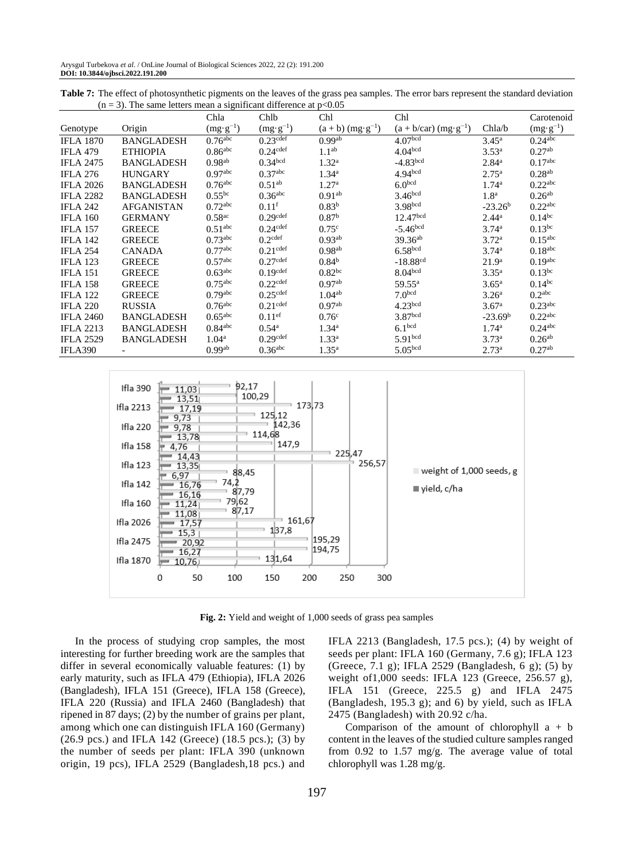| Table 7: The effect of photosynthetic pigments on the leaves of the grass pea samples. The error bars represent the standard deviation |  |
|----------------------------------------------------------------------------------------------------------------------------------------|--|
| $(n = 3)$ . The same letters mean a significant difference at $p < 0.05$                                                               |  |

|                  | $\epsilon$ ). The same retters mean a significant | Chla                  | Chlb                   | Chl                             | Chl                                 |                   | Carotenoid            |
|------------------|---------------------------------------------------|-----------------------|------------------------|---------------------------------|-------------------------------------|-------------------|-----------------------|
| Genotype         | Origin                                            | $(mg \cdot g^{-1})$   | $(mg \cdot g^{-1})$    | $(a + b)$ (mg·g <sup>-1</sup> ) | $(a + b/car)$ (mg·g <sup>-1</sup> ) | Chla/b            | $(mg \cdot g^{-1})$   |
| <b>IFLA 1870</b> | <b>BANGLADESH</b>                                 | $0.76$ <sup>abc</sup> | $0.23$ <sup>cdef</sup> | 0.99 <sup>ab</sup>              | 4.07 <sup>bcd</sup>                 | $3.45^{\rm a}$    | $0.24$ <sup>abc</sup> |
| <b>IFLA 479</b>  | <b>ETHIOPIA</b>                                   | $0.86$ <sup>abc</sup> | $0.24$ <sup>cdef</sup> | 1.1 <sup>ab</sup>               | 4.04 <sup>bcd</sup>                 | 3.53 <sup>a</sup> | $0.27^{ab}$           |
| <b>IFLA 2475</b> | <b>BANGLADESH</b>                                 | 0.98 <sup>ab</sup>    | 0.34 <sup>bcd</sup>    | 1.32 <sup>a</sup>               | $-4.83bcd$                          | $2.84^{\rm a}$    | $0.17$ <sup>abc</sup> |
| <b>IFLA 276</b>  | <b>HUNGARY</b>                                    | 0.97 <sup>abc</sup>   | 0.37 <sup>abc</sup>    | $1.34^{\rm a}$                  | 4.94 <sup>bcd</sup>                 | $2.75^{\rm a}$    | $0.28^{ab}$           |
| <b>IFLA 2026</b> | <b>BANGLADESH</b>                                 | $0.76$ <sup>abc</sup> | $0.51^{ab}$            | 1.27 <sup>a</sup>               | 6.0 <sup>bcd</sup>                  | $1.74^{\rm a}$    | 0.22 <sup>abc</sup>   |
| <b>IFLA 2282</b> | <b>BANGLADESH</b>                                 | $0.55^{bc}$           | $0.36$ <sup>abc</sup>  | 0.91 <sup>ab</sup>              | 3.46 <sup>bcd</sup>                 | 1.8 <sup>a</sup>  | $0.26^{ab}$           |
| <b>IFLA 242</b>  | <b>AFGANISTAN</b>                                 | $0.72$ <sup>abc</sup> | $0.11$ <sup>f</sup>    | 0.83 <sup>b</sup>               | 3.98 <sub>bcd</sub>                 | $-23.26b$         | $0.22$ <sup>abc</sup> |
| <b>IFLA 160</b>  | <b>GERMANY</b>                                    | 0.58 <sup>ac</sup>    | $0.29$ cdef            | 0.87 <sup>b</sup>               | 12.47 <sup>bcd</sup>                | $2.44^{\rm a}$    | $0.14^{bc}$           |
| <b>IFLA 157</b>  | <b>GREECE</b>                                     | 0.51 <sup>abc</sup>   | $0.24$ cdef            | 0.75 <sup>c</sup>               | $-5.46$ <sub>bcd</sub>              | $3.74^{\rm a}$    | $0.13$ bc             |
| <b>IFLA 142</b>  | <b>GREECE</b>                                     | $0.73$ <sup>abc</sup> | $0.2$ <sup>cdef</sup>  | $0.93^{ab}$                     | $39.36^{ab}$                        | 3.72 <sup>a</sup> | $0.15$ <sup>abc</sup> |
| <b>IFLA 254</b>  | <b>CANADA</b>                                     | $0.77$ <sup>abc</sup> | $0.21$ cdef            | 0.98 <sup>ab</sup>              | 6.58 <sup>bcd</sup>                 | $3.74^{\rm a}$    | $0.18$ <sub>abc</sub> |
| <b>IFLA 123</b>  | <b>GREECE</b>                                     | $0.57$ <sup>abc</sup> | $0.27$ def             | 0.84 <sup>b</sup>               | $-18.88$ <sup>cd</sup>              | 21.9 <sup>a</sup> | $0.19$ <sub>abc</sub> |
| <b>IFLA 151</b>  | <b>GREECE</b>                                     | $0.63$ <sup>abc</sup> | $0.19$ cdef            | 0.82 <sup>bc</sup>              | 8.04 <sup>bcd</sup>                 | $3.35^{\rm a}$    | $0.13$ bc             |
| <b>IFLA 158</b>  | <b>GREECE</b>                                     | $0.75$ <sup>abc</sup> | $0.22$ <sup>cdef</sup> | $0.97^{ab}$                     | $59.55^{\rm a}$                     | $3.65^{\rm a}$    | $0.14^{bc}$           |
| <b>IFLA 122</b>  | <b>GREECE</b>                                     | $0.79$ <sup>abc</sup> | $0.25$ <sup>cdef</sup> | $1.04^{ab}$                     | 7.0 <sup>bcd</sup>                  | 3.26 <sup>a</sup> | 0.2 <sup>abc</sup>    |
| <b>IFLA 220</b>  | <b>RUSSIA</b>                                     | $0.76$ <sup>abc</sup> | $0.21$ cdef            | 0.97 <sup>ab</sup>              | 4.23 <sup>bcd</sup>                 | 3.67 <sup>a</sup> | $0.23$ <sup>abc</sup> |
| <b>IFLA 2460</b> | <b>BANGLADESH</b>                                 | $0.65$ <sup>abc</sup> | $0.11$ <sup>ef</sup>   | 0.76 <sup>c</sup>               | 3.87 <sup>bcd</sup>                 | $-23.69b$         | 0.22 <sup>abc</sup>   |
| <b>IFLA 2213</b> | <b>BANGLADESH</b>                                 | $0.84$ <sup>abc</sup> | $0.54^{\rm a}$         | $1.34^{\rm a}$                  | 6.1 <sup>bcd</sup>                  | $1.74^{\rm a}$    | $0.24$ <sup>abc</sup> |
| <b>IFLA 2529</b> | <b>BANGLADESH</b>                                 | $1.04^{\rm a}$        | $0.29$ <sup>cdef</sup> | $1.33^{\rm a}$                  | 5.91 <sup>bcd</sup>                 | $3.73^{\rm a}$    | $0.26^{ab}$           |
| IFLA390          |                                                   | 0.99 <sup>ab</sup>    | $0.36$ <sup>abc</sup>  | $1.35^{\rm a}$                  | 5.05 <sub>bcd</sub>                 | $2.73^{\rm a}$    | $0.27^{ab}$           |



**Fig. 2:** Yield and weight of 1,000 seeds of grass pea samples

In the process of studying crop samples, the most interesting for further breeding work are the samples that differ in several economically valuable features: (1) by early maturity, such as IFLA 479 (Ethiopia), IFLA 2026 (Bangladesh), IFLA 151 (Greece), IFLA 158 (Greece), IFLA 220 (Russia) and IFLA 2460 (Bangladesh) that ripened in 87 days; (2) by the number of grains per plant, among which one can distinguish IFLA 160 (Germany) (26.9 pcs.) and IFLA 142 (Greece) (18.5 pcs.); (3) by the number of seeds per plant: IFLA 390 (unknown origin, 19 pcs), IFLA 2529 (Bangladesh,18 pcs.) and

IFLA 2213 (Bangladesh, 17.5 pcs.); (4) by weight of seeds per plant: IFLA 160 (Germany, 7.6 g); IFLA 123 (Greece, 7.1 g); IFLA 2529 (Bangladesh, 6 g); (5) by weight of1,000 seeds: IFLA 123 (Greece, 256.57 g), IFLA 151 (Greece, 225.5 g) and IFLA 2475 (Bangladesh, 195.3 g); and 6) by yield, such as IFLA 2475 (Bangladesh) with 20.92 c/ha.

Comparison of the amount of chlorophyll  $a + b$ content in the leaves of the studied culture samples ranged from 0.92 to 1.57 mg/g. The average value of total chlorophyll was 1.28 mg/g.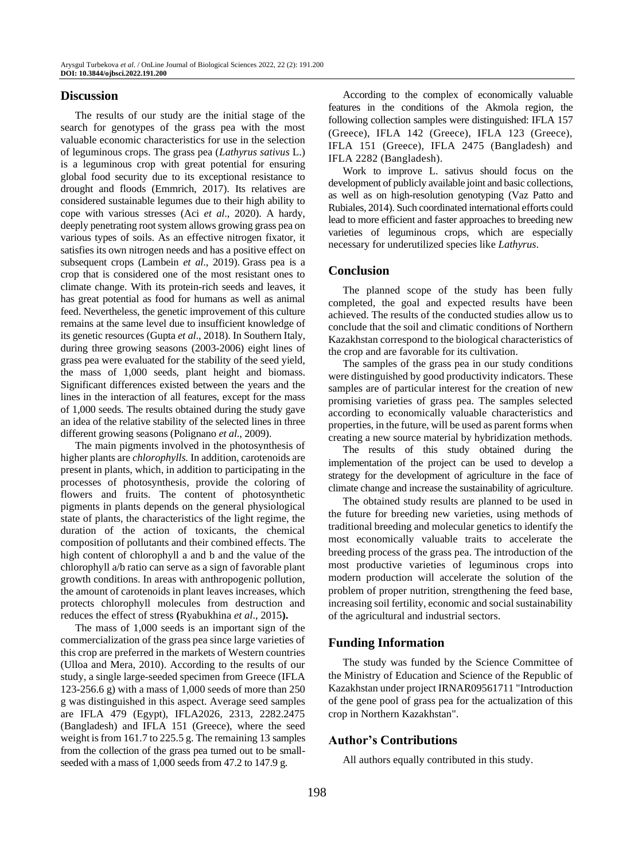## **Discussion**

The results of our study are the initial stage of the search for genotypes of the grass pea with the most valuable economic characteristics for use in the selection of leguminous crops. The grass pea (*Lathyrus sativus* L.) is a leguminous crop with great potential for ensuring global food security due to its exceptional resistance to drought and floods (Emmrich, 2017). Its relatives are considered sustainable legumes due to their high ability to cope with various stresses (Aci *et al*., 2020). A hardy, deeply penetrating root system allows growing grass pea on various types of soils. As an effective nitrogen fixator, it satisfies its own nitrogen needs and has a positive effect on subsequent crops (Lambein *et al*., 2019). Grass pea is a crop that is considered one of the most resistant ones to climate change. With its protein-rich seeds and leaves, it has great potential as food for humans as well as animal feed. Nevertheless, the genetic improvement of this culture remains at the same level due to insufficient knowledge of its genetic resources (Gupta *et al*., 2018). In Southern Italy, during three growing seasons (2003-2006) eight lines of grass pea were evaluated for the stability of the seed yield, the mass of 1,000 seeds, plant height and biomass. Significant differences existed between the years and the lines in the interaction of all features, except for the mass of 1,000 seeds. The results obtained during the study gave an idea of the relative stability of the selected lines in three different growing seasons (Polignano *et al*., 2009).

The main pigments involved in the photosynthesis of higher plants are *chlorophylls.* In addition, carotenoids are present in plants, which, in addition to participating in the processes of photosynthesis, provide the coloring of flowers and fruits. The content of photosynthetic pigments in plants depends on the general physiological state of plants, the characteristics of the light regime, the duration of the action of toxicants, the chemical composition of pollutants and their combined effects. The high content of chlorophyll a and b and the value of the chlorophyll a/b ratio can serve as a sign of favorable plant growth conditions. In areas with anthropogenic pollution, the amount of carotenoids in plant leaves increases, which protects chlorophyll molecules from destruction and reduces the effect of stress **(**Ryabukhina *et al*., 2015**).**

The mass of 1,000 seeds is an important sign of the commercialization of the grass pea since large varieties of this crop are preferred in the markets of Western countries (Ulloa and Mera, 2010). According to the results of our study, a single large-seeded specimen from Greece (IFLA 123-256.6 g) with a mass of 1,000 seeds of more than 250 g was distinguished in this aspect. Average seed samples are IFLA 479 (Egypt), IFLA2026, 2313, 2282.2475 (Bangladesh) and IFLA 151 (Greece), where the seed weight is from 161.7 to 225.5 g. The remaining 13 samples from the collection of the grass pea turned out to be smallseeded with a mass of 1,000 seeds from 47.2 to 147.9 g.

According to the complex of economically valuable features in the conditions of the Akmola region, the following collection samples were distinguished: IFLA 157 (Greece), IFLA 142 (Greece), IFLA 123 (Greece), IFLA 151 (Greece), IFLA 2475 (Bangladesh) and IFLA 2282 (Bangladesh).

Work to improve L. sativus should focus on the development of publicly available joint and basic collections, as well as on high-resolution genotyping (Vaz Patto and Rubiales, 2014). Such coordinated international efforts could lead to more efficient and faster approaches to breeding new varieties of leguminous crops, which are especially necessary for underutilized species like *Lathyrus*.

### **Conclusion**

The planned scope of the study has been fully completed, the goal and expected results have been achieved. The results of the conducted studies allow us to conclude that the soil and climatic conditions of Northern Kazakhstan correspond to the biological characteristics of the crop and are favorable for its cultivation.

The samples of the grass pea in our study conditions were distinguished by good productivity indicators. These samples are of particular interest for the creation of new promising varieties of grass pea. The samples selected according to economically valuable characteristics and properties, in the future, will be used as parent forms when creating a new source material by hybridization methods.

The results of this study obtained during the implementation of the project can be used to develop a strategy for the development of agriculture in the face of climate change and increase the sustainability of agriculture.

The obtained study results are planned to be used in the future for breeding new varieties, using methods of traditional breeding and molecular genetics to identify the most economically valuable traits to accelerate the breeding process of the grass pea. The introduction of the most productive varieties of leguminous crops into modern production will accelerate the solution of the problem of proper nutrition, strengthening the feed base, increasing soil fertility, economic and social sustainability of the agricultural and industrial sectors.

# **Funding Information**

The study was funded by the Science Committee of the Ministry of Education and Science of the Republic of Kazakhstan under project IRNAR09561711 "Introduction of the gene pool of grass pea for the actualization of this crop in Northern Kazakhstan".

#### **Author's Contributions**

All authors equally contributed in this study.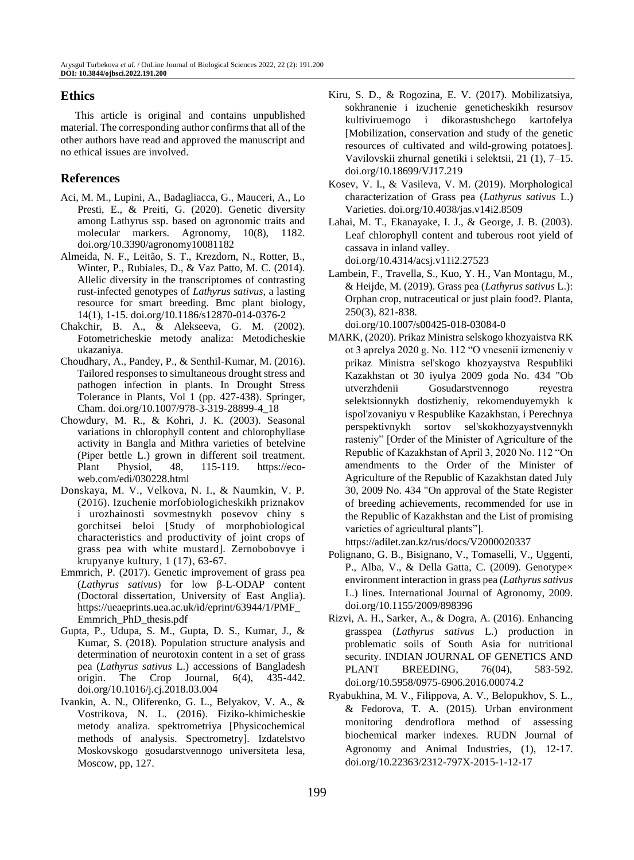# **Ethics**

This article is original and contains unpublished material. The corresponding author confirms that all of the other authors have read and approved the manuscript and no ethical issues are involved.

# **References**

- Aci, M. M., Lupini, A., Badagliacca, G., Mauceri, A., Lo Presti, E., & Preiti, G. (2020). Genetic diversity among Lathyrus ssp. based on agronomic traits and molecular markers. Agronomy, 10(8), 1182. [doi.org/10.3390/agronomy10081182](https://doi.org/10.3390/agronomy10081182)
- Almeida, N. F., Leitão, S. T., Krezdorn, N., Rotter, B., Winter, P., Rubiales, D., & Vaz Patto, M. C. (2014). Allelic diversity in the transcriptomes of contrasting rust-infected genotypes of *Lathyrus sativus*, a lasting resource for smart breeding. Bmc plant biology, 14(1), 1-15. [doi.org/10.1186/s12870-014-0376-2](https://doi.org/10.1186/s12870-014-0376-2)
- Chakchir, B. A., & Alekseeva, G. M. (2002). Fotometricheskie metody analiza: Metodicheskie ukazaniya.
- Choudhary, A., Pandey, P., & Senthil-Kumar, M. (2016). Tailored responses to simultaneous drought stress and pathogen infection in plants. In Drought Stress Tolerance in Plants, Vol 1 (pp. 427-438). Springer, Cham[. doi.org/10.1007/978-3-319-28899-4\\_18](https://doi.org/10.1007/978-3-319-28899-4_18)
- Chowdury, M. R., & Kohri, J. K. (2003). Seasonal variations in chlorophyll content and chlorophyllase activity in Bangla and Mithra varieties of betelvine (Piper bettle L.) grown in different soil treatment. Plant Physiol, 48, 115-119. [https://eco](https://eco-web.com/edi/030228.html)[web.com/edi/030228.html](https://eco-web.com/edi/030228.html)
- Donskaya, M. V., Velkova, N. I., & Naumkin, V. P. (2016). Izuchenie morfobiologicheskikh priznakov i urozhainosti sovmestnykh posevov chiny s gorchitsei beloi [Study of morphobiological characteristics and productivity of joint crops of grass pea with white mustard]. Zernobobovye i krupyanye kultury, 1 (17), 63-67.
- Emmrich, P. (2017). Genetic improvement of grass pea (*Lathyrus sativus*) for low β-L-ODAP content (Doctoral dissertation, University of East Anglia). https://ueaeprints.uea.ac.uk/id/eprint/63944/1/PMF\_ Emmrich\_PhD\_thesis.pdf
- Gupta, P., Udupa, S. M., Gupta, D. S., Kumar, J., & Kumar, S. (2018). Population structure analysis and determination of neurotoxin content in a set of grass pea (*Lathyrus sativus* L.) accessions of Bangladesh origin. The Crop Journal, 6(4), 435-442. [doi.org/10.1016/j.cj.2018.03.004](https://doi.org/10.1016/j.cj.2018.03.004)
- Ivankin, A. N., Oliferenko, G. L., Belyakov, V. A., & Vostrikova, N. L. (2016). Fiziko-khimicheskie metody analiza. spektrometriya [Physicochemical methods of analysis. Spectrometry]. Izdatelstvo Moskovskogo gosudarstvennogo universiteta lesa, Moscow, pp, 127.
- Kiru, S. D., & Rogozina, E. V. (2017). Mobilizatsiya, sokhranenie i izuchenie geneticheskikh resursov kultiviruemogo i dikorastushchego kartofelya [Mobilization, conservation and study of the genetic resources of cultivated and wild-growing potatoes]. Vavilovskii zhurnal genetiki i selektsii, 21 (1), 7–15. [doi.org/10.18699/VJ17.219](https://doi.org/10.18699/VJ17.219)
- Kosev, V. I., & Vasileva, V. M. (2019). Morphological characterization of Grass pea (*Lathyrus sativus* L.) Varieties. [doi.org/10.4038/jas.v14i2.8509](http://dx.doi.org/10.4038/jas.v14i2.8509)
- Lahai, M. T., Ekanayake, I. J., & George, J. B. (2003). Leaf chlorophyll content and tuberous root yield of cassava in inland valley. [doi.org/10.4314/acsj.v11i2.27523](https://doi.org/10.4314/acsj.v11i2.27523)
- Lambein, F., Travella, S., Kuo, Y. H., Van Montagu, M., & Heijde, M. (2019). Grass pea (*Lathyrus sativus* L.): Orphan crop, nutraceutical or just plain food?. Planta, 250(3), 821-838.

[doi.org/10.1007/s00425-018-03084-0](https://doi.org/10.1007/s00425-018-03084-0)

- MARK, (2020). Prikaz Ministra selskogo khozyaistva RK ot 3 aprelya 2020 g. No. 112 "O vnesenii izmeneniy v prikaz Ministra sel'skogo khozyaystva Respubliki Kazakhstan ot 30 iyulya 2009 goda No. 434 "Ob utverzhdenii Gosudarstvennogo reyestra selektsionnykh dostizheniy, rekomenduyemykh k ispol'zovaniyu v Respublike Kazakhstan, i Perechnya perspektivnykh sortov sel'skokhozyaystvennykh rasteniy" [Order of the Minister of Agriculture of the Republic of Kazakhstan of April 3, 2020 No. 112 "On amendments to the Order of the Minister of Agriculture of the Republic of Kazakhstan dated July 30, 2009 No. 434 "On approval of the State Register of breeding achievements, recommended for use in the Republic of Kazakhstan and the List of promising varieties of agricultural plants"]. <https://adilet.zan.kz/rus/docs/V2000020337>
- Polignano, G. B., Bisignano, V., Tomaselli, V., Uggenti, P., Alba, V., & Della Gatta, C. (2009). Genotype $\times$ environment interaction in grass pea (*Lathyrus sativus* L.) lines. International Journal of Agronomy, 2009. [doi.org/10.1155/2009/898396](https://doi.org/10.1155/2009/898396)
- Rizvi, A. H., Sarker, A., & Dogra, A. (2016). Enhancing grasspea (*Lathyrus sativus* L.) production in problematic soils of South Asia for nutritional security. INDIAN JOURNAL OF GENETICS AND PLANT BREEDING, 76(04), 583-592. [doi.org/10.5958/0975-6906.2016.00074.2](https://doi.org/10.5958/0975-6906.2016.00074.2)
- Ryabukhina, M. V., Filippova, A. V., Belopukhov, S. L., & Fedorova, T. A. (2015). Urban environment monitoring dendroflora method of assessing biochemical marker indexes. RUDN Journal of Agronomy and Animal Industries, (1), 12-17. [doi.org/10.22363/2312-797X-2015-1-12-17](http://dx.doi.org/10.22363/2312-797X-2015-1-12-17)